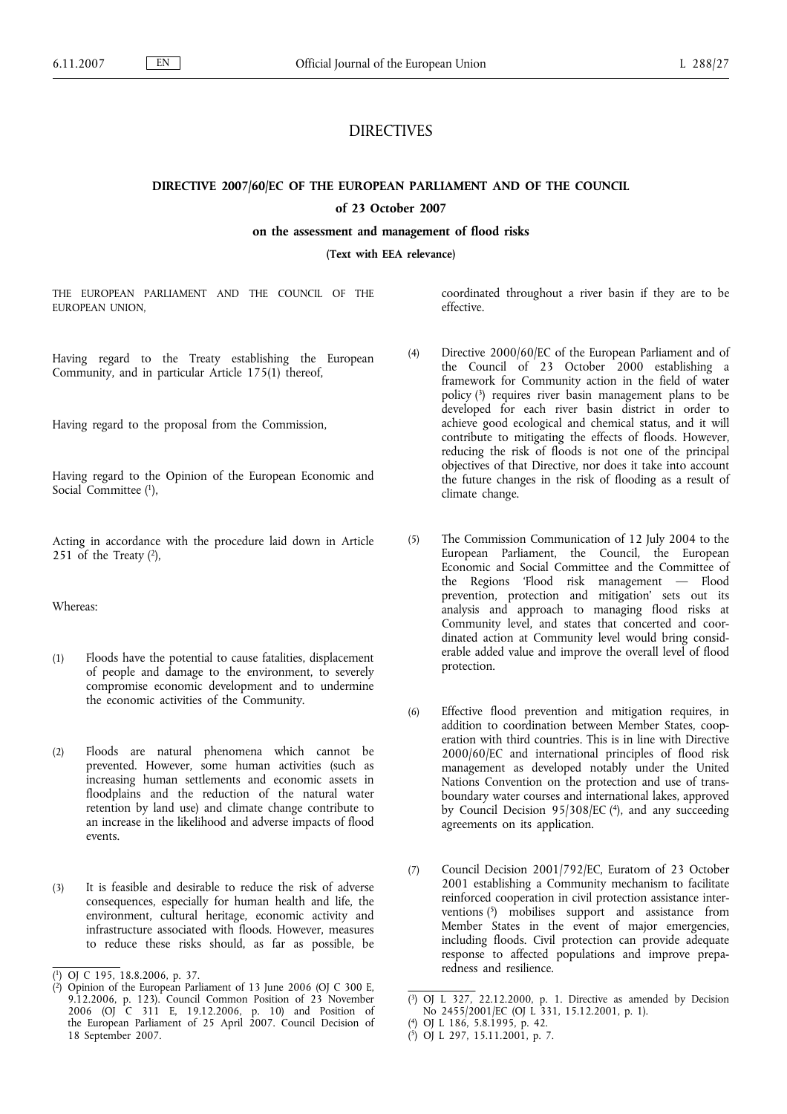# DIRECTIVES

**DIRECTIVE 2007/60/EC OF THE EUROPEAN PARLIAMENT AND OF THE COUNCIL**

# **of 23 October 2007**

**on the assessment and management of flood risks**

**(Text with EEA relevance)**

THE EUROPEAN PARLIAMENT AND THE COUNCIL OF THE EUROPEAN UNION,

Having regard to the Treaty establishing the European Community, and in particular Article 175(1) thereof,

Having regard to the proposal from the Commission,

Having regard to the Opinion of the European Economic and Social Committee (1),

Acting in accordance with the procedure laid down in Article 251 of the Treaty  $(2)$ ,

Whereas:

- (1) Floods have the potential to cause fatalities, displacement of people and damage to the environment, to severely compromise economic development and to undermine the economic activities of the Community.
- (2) Floods are natural phenomena which cannot be prevented. However, some human activities (such as increasing human settlements and economic assets in floodplains and the reduction of the natural water retention by land use) and climate change contribute to an increase in the likelihood and adverse impacts of flood events.
- (3) It is feasible and desirable to reduce the risk of adverse consequences, especially for human health and life, the environment, cultural heritage, economic activity and infrastructure associated with floods. However, measures to reduce these risks should, as far as possible, be

coordinated throughout a river basin if they are to be effective.

- (4) Directive 2000/60/EC of the European Parliament and of the Council of 23 October 2000 establishing a framework for Community action in the field of water policy (3) requires river basin management plans to be developed for each river basin district in order to achieve good ecological and chemical status, and it will contribute to mitigating the effects of floods. However, reducing the risk of floods is not one of the principal objectives of that Directive, nor does it take into account the future changes in the risk of flooding as a result of climate change.
- (5) The Commission Communication of 12 July 2004 to the European Parliament, the Council, the European Economic and Social Committee and the Committee of the Regions 'Flood risk management — Flood prevention, protection and mitigation' sets out its analysis and approach to managing flood risks at Community level, and states that concerted and coordinated action at Community level would bring considerable added value and improve the overall level of flood protection.
- (6) Effective flood prevention and mitigation requires, in addition to coordination between Member States, cooperation with third countries. This is in line with Directive 2000/60/EC and international principles of flood risk management as developed notably under the United Nations Convention on the protection and use of transboundary water courses and international lakes, approved by Council Decision 95/308/EC (4), and any succeeding agreements on its application.
- (7) Council Decision 2001/792/EC, Euratom of 23 October 2001 establishing a Community mechanism to facilitate reinforced cooperation in civil protection assistance interventions (5) mobilises support and assistance from Member States in the event of major emergencies, including floods. Civil protection can provide adequate response to affected populations and improve preparedness and resilience.

<sup>(</sup> 1) OJ C 195, 18.8.2006, p. 37.

<sup>(</sup> 2) Opinion of the European Parliament of 13 June 2006 (OJ C 300 E, 9.12.2006, p. 123). Council Common Position of 23 November 2006 (OJ C 311 E, 19.12.2006, p. 10) and Position of the European Parliament of 25 April 2007. Council Decision of 18 September 2007.

<sup>(</sup> 3) OJ L 327, 22.12.2000, p. 1. Directive as amended by Decision No 2455/2001/EC (OJ L 331, 15.12.2001, p. 1).

<sup>(</sup> 4) OJ L 186, 5.8.1995, p. 42.

<sup>(</sup> 5) OJ L 297, 15.11.2001, p. 7.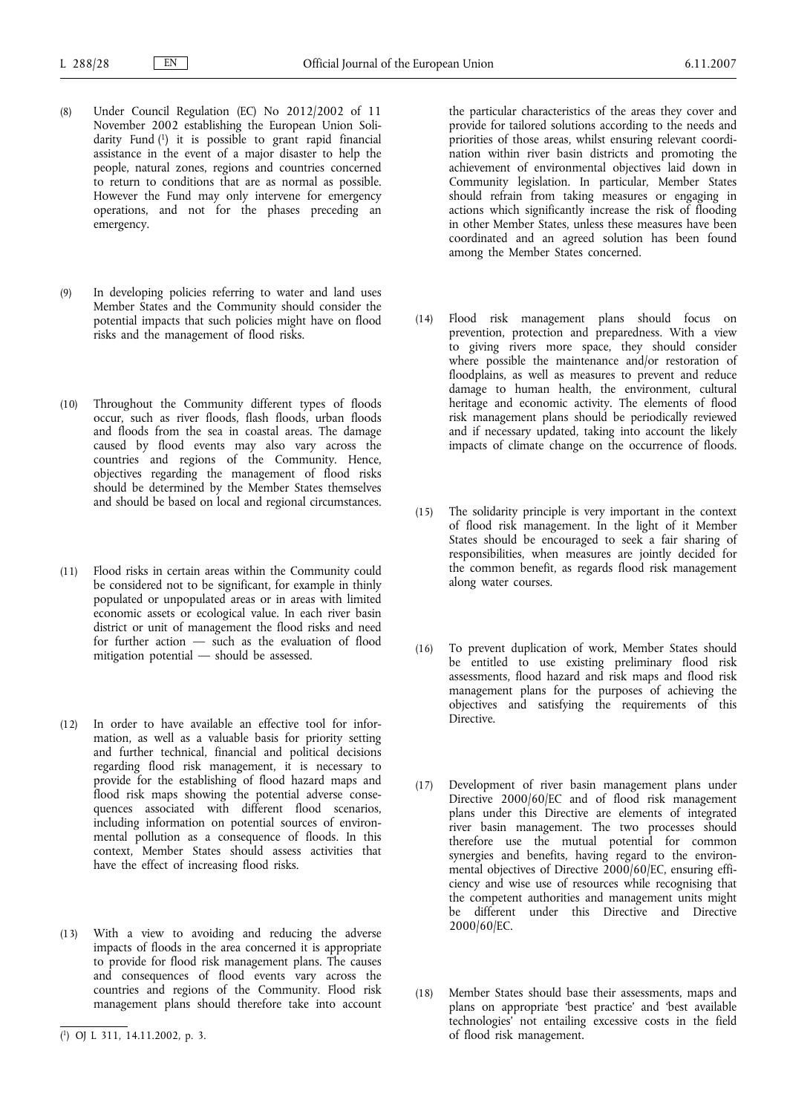- (8) Under Council Regulation (EC) No 2012/2002 of 11 November 2002 establishing the European Union Solidarity Fund (1) it is possible to grant rapid financial assistance in the event of a major disaster to help the people, natural zones, regions and countries concerned to return to conditions that are as normal as possible. However the Fund may only intervene for emergency operations, and not for the phases preceding an emergency.
- (9) In developing policies referring to water and land uses Member States and the Community should consider the potential impacts that such policies might have on flood risks and the management of flood risks.
- (10) Throughout the Community different types of floods occur, such as river floods, flash floods, urban floods and floods from the sea in coastal areas. The damage caused by flood events may also vary across the countries and regions of the Community. Hence, objectives regarding the management of flood risks should be determined by the Member States themselves and should be based on local and regional circumstances.
- (11) Flood risks in certain areas within the Community could be considered not to be significant, for example in thinly populated or unpopulated areas or in areas with limited economic assets or ecological value. In each river basin district or unit of management the flood risks and need for further action — such as the evaluation of flood mitigation potential — should be assessed.
- (12) In order to have available an effective tool for information, as well as a valuable basis for priority setting and further technical, financial and political decisions regarding flood risk management, it is necessary to provide for the establishing of flood hazard maps and flood risk maps showing the potential adverse consequences associated with different flood scenarios, including information on potential sources of environmental pollution as a consequence of floods. In this context, Member States should assess activities that have the effect of increasing flood risks.
- (13) With a view to avoiding and reducing the adverse impacts of floods in the area concerned it is appropriate to provide for flood risk management plans. The causes and consequences of flood events vary across the countries and regions of the Community. Flood risk management plans should therefore take into account

the particular characteristics of the areas they cover and provide for tailored solutions according to the needs and priorities of those areas, whilst ensuring relevant coordination within river basin districts and promoting the achievement of environmental objectives laid down in Community legislation. In particular, Member States should refrain from taking measures or engaging in actions which significantly increase the risk of flooding in other Member States, unless these measures have been coordinated and an agreed solution has been found among the Member States concerned.

- (14) Flood risk management plans should focus on prevention, protection and preparedness. With a view to giving rivers more space, they should consider where possible the maintenance and/or restoration of floodplains, as well as measures to prevent and reduce damage to human health, the environment, cultural heritage and economic activity. The elements of flood risk management plans should be periodically reviewed and if necessary updated, taking into account the likely impacts of climate change on the occurrence of floods.
- (15) The solidarity principle is very important in the context of flood risk management. In the light of it Member States should be encouraged to seek a fair sharing of responsibilities, when measures are jointly decided for the common benefit, as regards flood risk management along water courses.
- (16) To prevent duplication of work, Member States should be entitled to use existing preliminary flood risk assessments, flood hazard and risk maps and flood risk management plans for the purposes of achieving the objectives and satisfying the requirements of this **Directive**
- (17) Development of river basin management plans under Directive 2000/60/EC and of flood risk management plans under this Directive are elements of integrated river basin management. The two processes should therefore use the mutual potential for common synergies and benefits, having regard to the environmental objectives of Directive 2000/60/EC, ensuring efficiency and wise use of resources while recognising that the competent authorities and management units might be different under this Directive and Directive 2000/60/EC.
- (18) Member States should base their assessments, maps and plans on appropriate 'best practice' and 'best available technologies' not entailing excessive costs in the field of flood risk management.

<sup>(</sup> 1) OJ L 311, 14.11.2002, p. 3.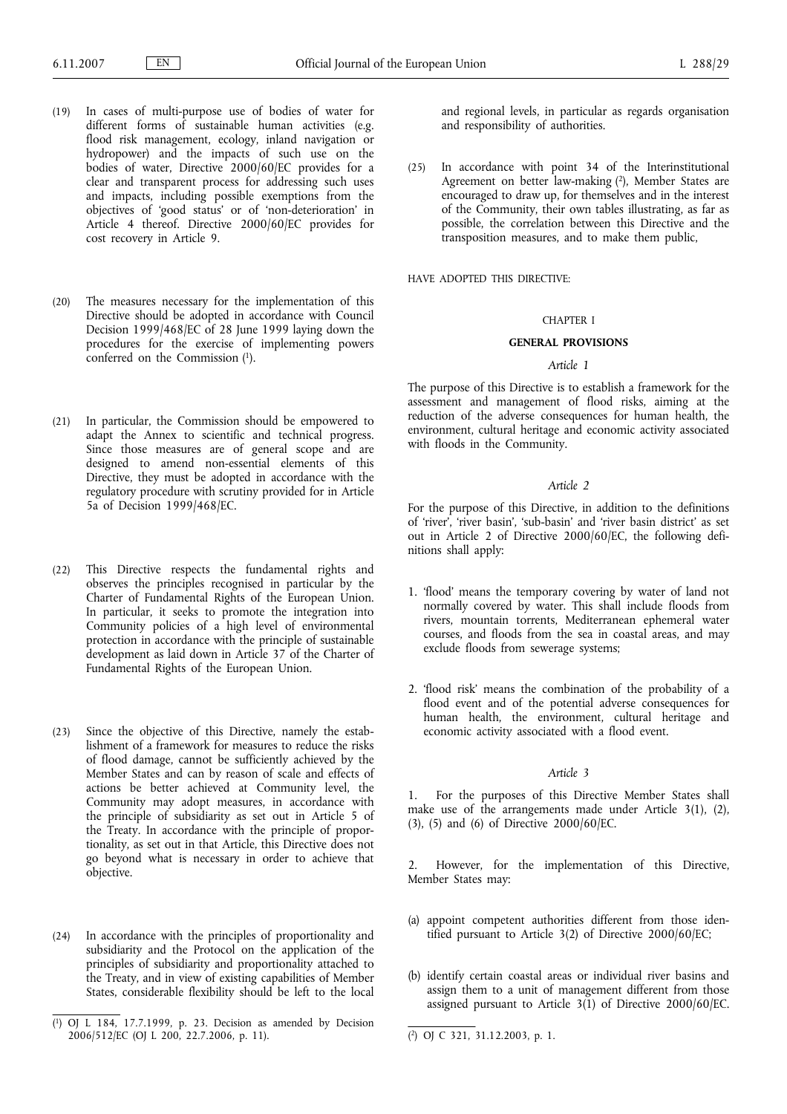- (19) In cases of multi-purpose use of bodies of water for different forms of sustainable human activities (e.g. flood risk management, ecology, inland navigation or hydropower) and the impacts of such use on the bodies of water, Directive 2000/60/EC provides for a clear and transparent process for addressing such uses and impacts, including possible exemptions from the objectives of 'good status' or of 'non-deterioration' in Article 4 thereof. Directive 2000/60/EC provides for cost recovery in Article 9.
- (20) The measures necessary for the implementation of this Directive should be adopted in accordance with Council Decision 1999/468/EC of 28 June 1999 laying down the procedures for the exercise of implementing powers conferred on the Commission (1).
- (21) In particular, the Commission should be empowered to adapt the Annex to scientific and technical progress. Since those measures are of general scope and are designed to amend non-essential elements of this Directive, they must be adopted in accordance with the regulatory procedure with scrutiny provided for in Article 5a of Decision 1999/468/EC.
- (22) This Directive respects the fundamental rights and observes the principles recognised in particular by the Charter of Fundamental Rights of the European Union. In particular, it seeks to promote the integration into Community policies of a high level of environmental protection in accordance with the principle of sustainable development as laid down in Article 37 of the Charter of Fundamental Rights of the European Union.
- (23) Since the objective of this Directive, namely the establishment of a framework for measures to reduce the risks of flood damage, cannot be sufficiently achieved by the Member States and can by reason of scale and effects of actions be better achieved at Community level, the Community may adopt measures, in accordance with the principle of subsidiarity as set out in Article 5 of the Treaty. In accordance with the principle of proportionality, as set out in that Article, this Directive does not go beyond what is necessary in order to achieve that objective.
- (24) In accordance with the principles of proportionality and subsidiarity and the Protocol on the application of the principles of subsidiarity and proportionality attached to the Treaty, and in view of existing capabilities of Member States, considerable flexibility should be left to the local

and regional levels, in particular as regards organisation and responsibility of authorities.

(25) In accordance with point 34 of the Interinstitutional Agreement on better law-making (2), Member States are encouraged to draw up, for themselves and in the interest of the Community, their own tables illustrating, as far as possible, the correlation between this Directive and the transposition measures, and to make them public,

HAVE ADOPTED THIS DIRECTIVE:

# CHAPTER I

# **GENERAL PROVISIONS**

#### *Article 1*

The purpose of this Directive is to establish a framework for the assessment and management of flood risks, aiming at the reduction of the adverse consequences for human health, the environment, cultural heritage and economic activity associated with floods in the Community.

#### *Article 2*

For the purpose of this Directive, in addition to the definitions of 'river', 'river basin', 'sub-basin' and 'river basin district' as set out in Article 2 of Directive 2000/60/EC, the following definitions shall apply:

- 1. 'flood' means the temporary covering by water of land not normally covered by water. This shall include floods from rivers, mountain torrents, Mediterranean ephemeral water courses, and floods from the sea in coastal areas, and may exclude floods from sewerage systems;
- 2. 'flood risk' means the combination of the probability of a flood event and of the potential adverse consequences for human health, the environment, cultural heritage and economic activity associated with a flood event.

### *Article 3*

1. For the purposes of this Directive Member States shall make use of the arrangements made under Article 3(1), (2), (3), (5) and (6) of Directive 2000/60/EC.

However, for the implementation of this Directive, Member States may:

- (a) appoint competent authorities different from those identified pursuant to Article 3(2) of Directive 2000/60/EC;
- (b) identify certain coastal areas or individual river basins and assign them to a unit of management different from those assigned pursuant to Article 3(1) of Directive 2000/60/EC.

<sup>(</sup> 1) OJ L 184, 17.7.1999, p. 23. Decision as amended by Decision 2006/512/EC (OJ L 200, 22.7.2006, p. 11). (

<sup>2)</sup> OJ C 321, 31.12.2003, p. 1.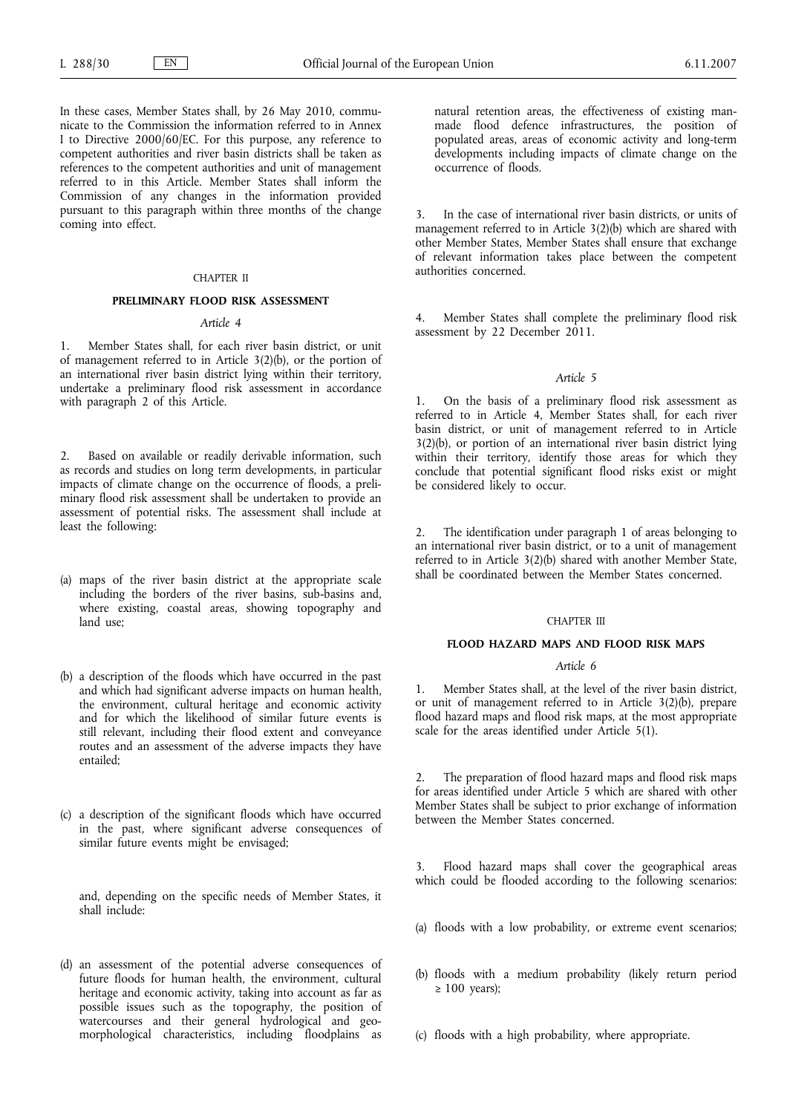In these cases, Member States shall, by 26 May 2010, communicate to the Commission the information referred to in Annex I to Directive 2000/60/EC. For this purpose, any reference to competent authorities and river basin districts shall be taken as references to the competent authorities and unit of management referred to in this Article. Member States shall inform the Commission of any changes in the information provided pursuant to this paragraph within three months of the change coming into effect.

#### CHAPTER II

### **PRELIMINARY FLOOD RISK ASSESSMENT**

# *Article 4*

1. Member States shall, for each river basin district, or unit of management referred to in Article 3(2)(b), or the portion of an international river basin district lying within their territory, undertake a preliminary flood risk assessment in accordance with paragraph 2 of this Article.

2. Based on available or readily derivable information, such as records and studies on long term developments, in particular impacts of climate change on the occurrence of floods, a preliminary flood risk assessment shall be undertaken to provide an assessment of potential risks. The assessment shall include at least the following:

- (a) maps of the river basin district at the appropriate scale including the borders of the river basins, sub-basins and, where existing, coastal areas, showing topography and land use;
- (b) a description of the floods which have occurred in the past and which had significant adverse impacts on human health, the environment, cultural heritage and economic activity and for which the likelihood of similar future events is still relevant, including their flood extent and conveyance routes and an assessment of the adverse impacts they have entailed;
- (c) a description of the significant floods which have occurred in the past, where significant adverse consequences of similar future events might be envisaged;

and, depending on the specific needs of Member States, it shall include:

(d) an assessment of the potential adverse consequences of future floods for human health, the environment, cultural heritage and economic activity, taking into account as far as possible issues such as the topography, the position of watercourses and their general hydrological and geomorphological characteristics, including floodplains as

natural retention areas, the effectiveness of existing manmade flood defence infrastructures, the position of populated areas, areas of economic activity and long-term developments including impacts of climate change on the occurrence of floods.

In the case of international river basin districts, or units of management referred to in Article 3(2)(b) which are shared with other Member States, Member States shall ensure that exchange of relevant information takes place between the competent authorities concerned.

4. Member States shall complete the preliminary flood risk assessment by 22 December 2011.

#### *Article 5*

1. On the basis of a preliminary flood risk assessment as referred to in Article 4, Member States shall, for each river basin district, or unit of management referred to in Article 3(2)(b), or portion of an international river basin district lying within their territory, identify those areas for which they conclude that potential significant flood risks exist or might be considered likely to occur.

2. The identification under paragraph 1 of areas belonging to an international river basin district, or to a unit of management referred to in Article 3(2)(b) shared with another Member State, shall be coordinated between the Member States concerned.

#### CHAPTER III

# **FLOOD HAZARD MAPS AND FLOOD RISK MAPS**

#### *Article 6*

Member States shall, at the level of the river basin district, or unit of management referred to in Article 3(2)(b), prepare flood hazard maps and flood risk maps, at the most appropriate scale for the areas identified under Article 5(1).

The preparation of flood hazard maps and flood risk maps for areas identified under Article 5 which are shared with other Member States shall be subject to prior exchange of information between the Member States concerned.

Flood hazard maps shall cover the geographical areas which could be flooded according to the following scenarios:

- (a) floods with a low probability, or extreme event scenarios;
- (b) floods with a medium probability (likely return period  $\geq 100$  years):

(c) floods with a high probability, where appropriate.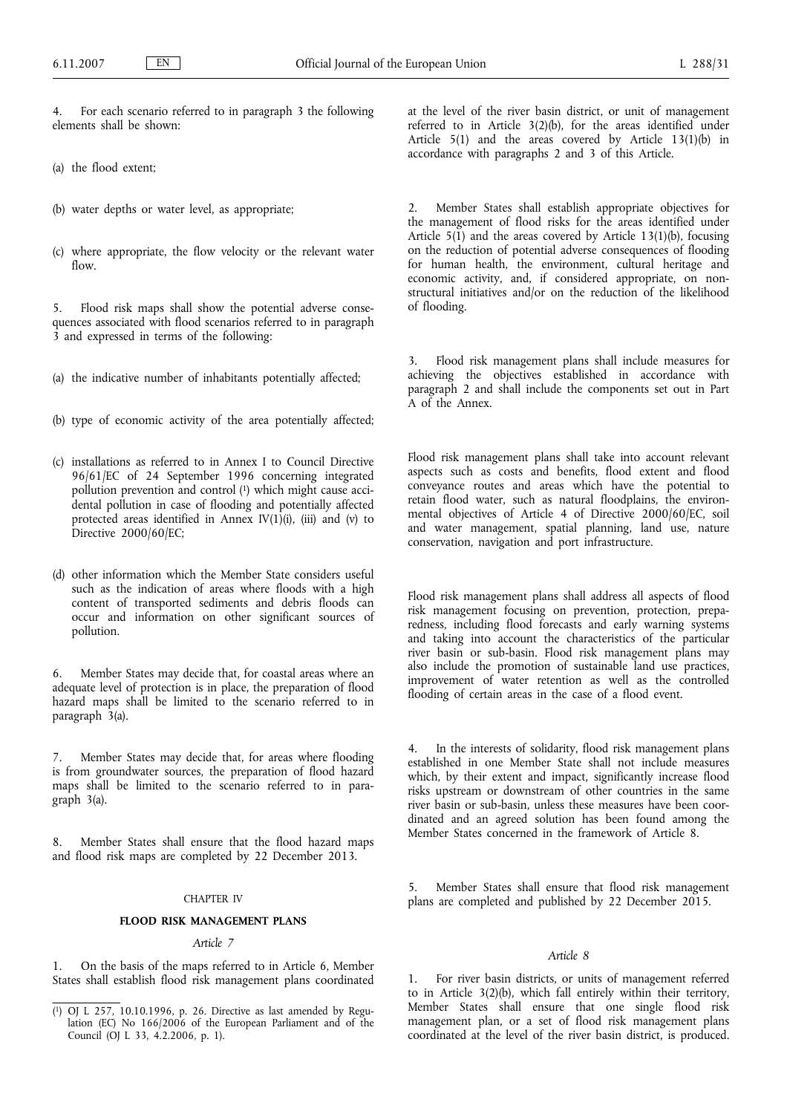4. For each scenario referred to in paragraph 3 the following elements shall be shown:

- (a) the flood extent;
- (b) water depths or water level, as appropriate;
- (c) where appropriate, the flow velocity or the relevant water flow.

5. Flood risk maps shall show the potential adverse consequences associated with flood scenarios referred to in paragraph 3 and expressed in terms of the following:

(a) the indicative number of inhabitants potentially affected;

- (b) type of economic activity of the area potentially affected;
- (c) installations as referred to in Annex I to Council Directive 96/61/EC of 24 September 1996 concerning integrated pollution prevention and control (1) which might cause accidental pollution in case of flooding and potentially affected protected areas identified in Annex  $IV(1)(i)$ , (iii) and (v) to Directive 2000/60/EC;
- (d) other information which the Member State considers useful such as the indication of areas where floods with a high content of transported sediments and debris floods can occur and information on other significant sources of pollution.

6. Member States may decide that, for coastal areas where an adequate level of protection is in place, the preparation of flood hazard maps shall be limited to the scenario referred to in paragraph 3(a).

7. Member States may decide that, for areas where flooding is from groundwater sources, the preparation of flood hazard maps shall be limited to the scenario referred to in paragraph 3(a).

8. Member States shall ensure that the flood hazard maps and flood risk maps are completed by 22 December 2013.

### CHAPTER IV

#### **FLOOD RISK MANAGEMENT PLANS**

## *Article 7*

1. On the basis of the maps referred to in Article 6, Member States shall establish flood risk management plans coordinated at the level of the river basin district, or unit of management referred to in Article 3(2)(b), for the areas identified under Article 5(1) and the areas covered by Article 13(1)(b) in accordance with paragraphs 2 and 3 of this Article.

2. Member States shall establish appropriate objectives for the management of flood risks for the areas identified under Article  $5(1)$  and the areas covered by Article 13(1)(b), focusing on the reduction of potential adverse consequences of flooding for human health, the environment, cultural heritage and economic activity, and, if considered appropriate, on nonstructural initiatives and/or on the reduction of the likelihood of flooding.

3. Flood risk management plans shall include measures for achieving the objectives established in accordance with paragraph 2 and shall include the components set out in Part A of the Annex.

Flood risk management plans shall take into account relevant aspects such as costs and benefits, flood extent and flood conveyance routes and areas which have the potential to retain flood water, such as natural floodplains, the environmental objectives of Article 4 of Directive 2000/60/EC, soil and water management, spatial planning, land use, nature conservation, navigation and port infrastructure.

Flood risk management plans shall address all aspects of flood risk management focusing on prevention, protection, preparedness, including flood forecasts and early warning systems and taking into account the characteristics of the particular river basin or sub-basin. Flood risk management plans may also include the promotion of sustainable land use practices, improvement of water retention as well as the controlled flooding of certain areas in the case of a flood event.

In the interests of solidarity, flood risk management plans established in one Member State shall not include measures which, by their extent and impact, significantly increase flood risks upstream or downstream of other countries in the same river basin or sub-basin, unless these measures have been coordinated and an agreed solution has been found among the Member States concerned in the framework of Article 8.

5. Member States shall ensure that flood risk management plans are completed and published by 22 December 2015.

#### *Article 8*

1. For river basin districts, or units of management referred to in Article 3(2)(b), which fall entirely within their territory, Member States shall ensure that one single flood risk management plan, or a set of flood risk management plans coordinated at the level of the river basin district, is produced.

 $(1)$ 1) OJ L 257, 10.10.1996, p. 26. Directive as last amended by Regulation (EC) No 166/2006 of the European Parliament and of the Council (OJ L 33, 4.2.2006, p. 1).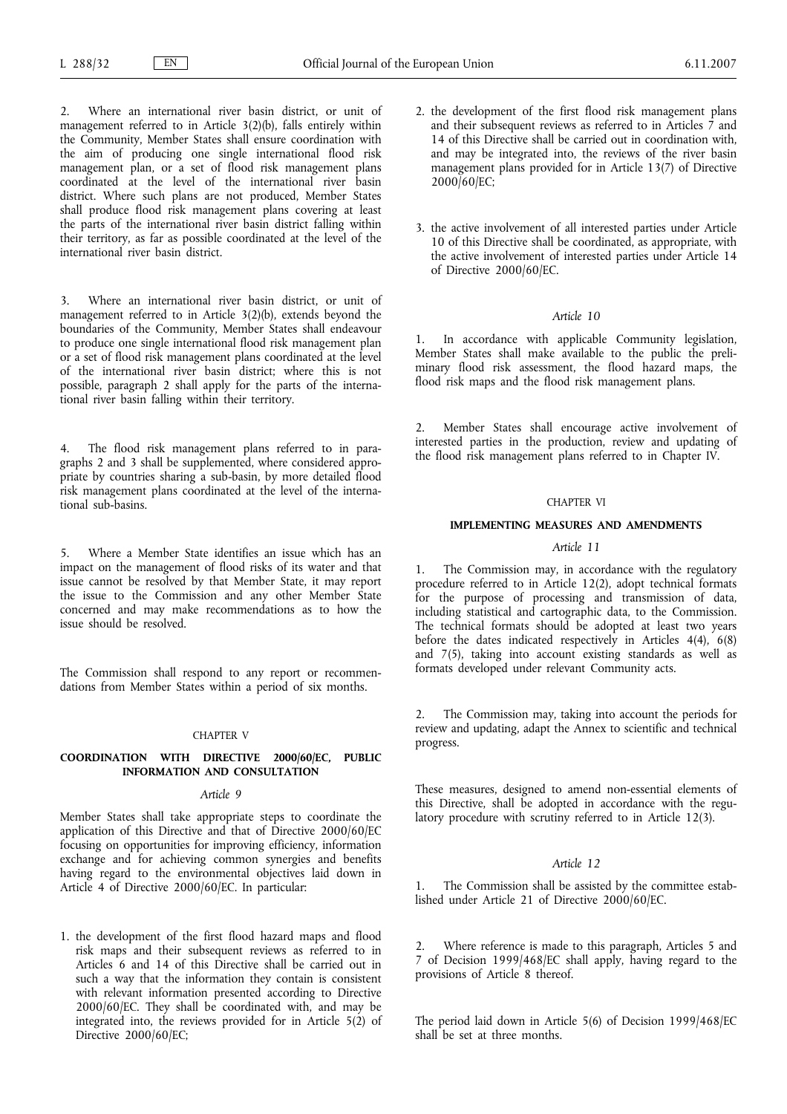2. Where an international river basin district, or unit of management referred to in Article 3(2)(b), falls entirely within the Community, Member States shall ensure coordination with the aim of producing one single international flood risk management plan, or a set of flood risk management plans coordinated at the level of the international river basin district. Where such plans are not produced, Member States shall produce flood risk management plans covering at least the parts of the international river basin district falling within their territory, as far as possible coordinated at the level of the international river basin district.

3. Where an international river basin district, or unit of management referred to in Article 3(2)(b), extends beyond the boundaries of the Community, Member States shall endeavour to produce one single international flood risk management plan or a set of flood risk management plans coordinated at the level of the international river basin district; where this is not possible, paragraph 2 shall apply for the parts of the international river basin falling within their territory.

4. The flood risk management plans referred to in paragraphs 2 and 3 shall be supplemented, where considered appropriate by countries sharing a sub-basin, by more detailed flood risk management plans coordinated at the level of the international sub-basins.

5. Where a Member State identifies an issue which has an impact on the management of flood risks of its water and that issue cannot be resolved by that Member State, it may report the issue to the Commission and any other Member State concerned and may make recommendations as to how the issue should be resolved.

The Commission shall respond to any report or recommendations from Member States within a period of six months.

#### CHAPTER V

## **COORDINATION WITH DIRECTIVE 2000/60/EC, PUBLIC INFORMATION AND CONSULTATION**

### *Article 9*

Member States shall take appropriate steps to coordinate the application of this Directive and that of Directive 2000/60/EC focusing on opportunities for improving efficiency, information exchange and for achieving common synergies and benefits having regard to the environmental objectives laid down in Article 4 of Directive 2000/60/EC. In particular:

1. the development of the first flood hazard maps and flood risk maps and their subsequent reviews as referred to in Articles 6 and 14 of this Directive shall be carried out in such a way that the information they contain is consistent with relevant information presented according to Directive 2000/60/EC. They shall be coordinated with, and may be integrated into, the reviews provided for in Article 5(2) of Directive 2000/60/EC;

- 2. the development of the first flood risk management plans and their subsequent reviews as referred to in Articles 7 and 14 of this Directive shall be carried out in coordination with, and may be integrated into, the reviews of the river basin management plans provided for in Article 13(7) of Directive 2000/60/EC;
- 3. the active involvement of all interested parties under Article 10 of this Directive shall be coordinated, as appropriate, with the active involvement of interested parties under Article 14 of Directive 2000/60/EC.

#### *Article 10*

1. In accordance with applicable Community legislation, Member States shall make available to the public the preliminary flood risk assessment, the flood hazard maps, the flood risk maps and the flood risk management plans.

2. Member States shall encourage active involvement of interested parties in the production, review and updating of the flood risk management plans referred to in Chapter IV.

# CHAPTER VI

#### **IMPLEMENTING MEASURES AND AMENDMENTS**

# *Article 11*

The Commission may, in accordance with the regulatory procedure referred to in Article 12(2), adopt technical formats for the purpose of processing and transmission of data, including statistical and cartographic data, to the Commission. The technical formats should be adopted at least two years before the dates indicated respectively in Articles  $4(4)$ ,  $6(8)$ and 7(5), taking into account existing standards as well as formats developed under relevant Community acts.

2. The Commission may, taking into account the periods for review and updating, adapt the Annex to scientific and technical progress.

These measures, designed to amend non-essential elements of this Directive, shall be adopted in accordance with the regulatory procedure with scrutiny referred to in Article 12(3).

# *Article 12*

1. The Commission shall be assisted by the committee established under Article 21 of Directive 2000/60/EC.

Where reference is made to this paragraph, Articles 5 and 7 of Decision 1999/468/EC shall apply, having regard to the provisions of Article 8 thereof.

The period laid down in Article 5(6) of Decision 1999/468/EC shall be set at three months.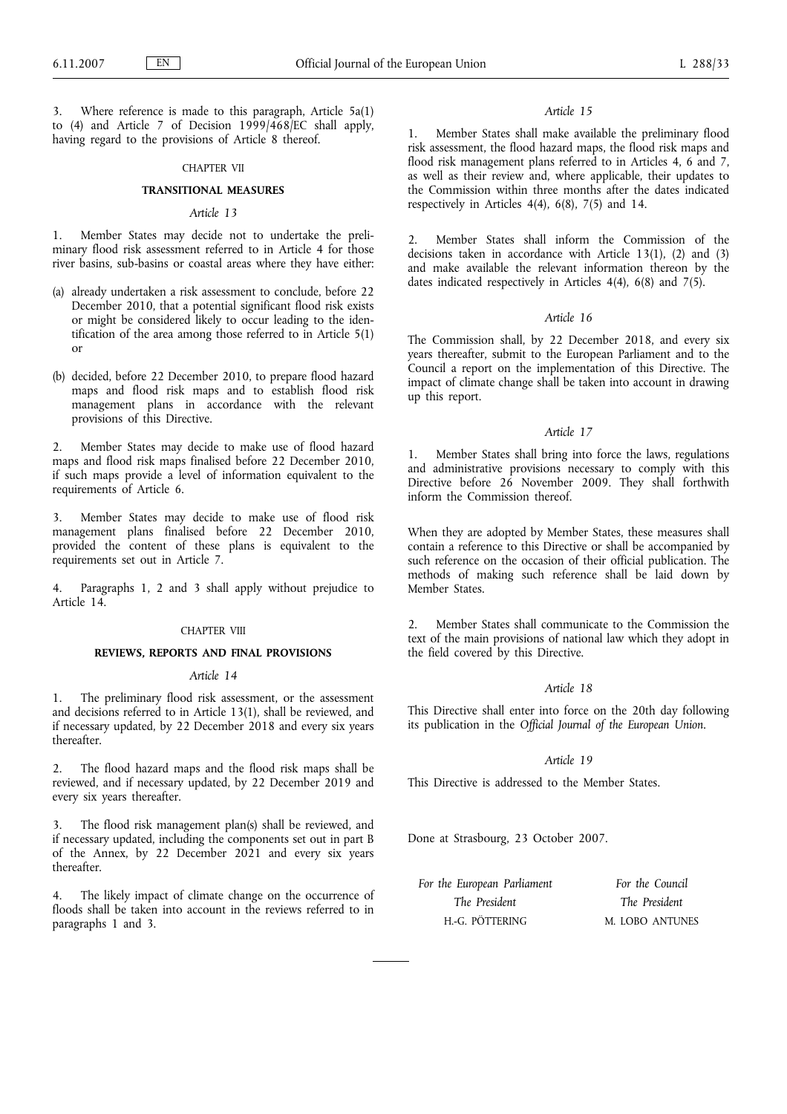Where reference is made to this paragraph, Article 5a(1) to (4) and Article 7 of Decision 1999/468/EC shall apply, having regard to the provisions of Article 8 thereof.

# CHAPTER VII

### **TRANSITIONAL MEASURES**

### *Article 13*

1. Member States may decide not to undertake the preliminary flood risk assessment referred to in Article 4 for those river basins, sub-basins or coastal areas where they have either:

- (a) already undertaken a risk assessment to conclude, before 22 December 2010, that a potential significant flood risk exists or might be considered likely to occur leading to the identification of the area among those referred to in Article 5(1) or
- (b) decided, before 22 December 2010, to prepare flood hazard maps and flood risk maps and to establish flood risk management plans in accordance with the relevant provisions of this Directive.

2. Member States may decide to make use of flood hazard maps and flood risk maps finalised before 22 December 2010, if such maps provide a level of information equivalent to the requirements of Article 6.

3. Member States may decide to make use of flood risk management plans finalised before 22 December 2010, provided the content of these plans is equivalent to the requirements set out in Article 7.

4. Paragraphs 1, 2 and 3 shall apply without prejudice to Article 14.

#### CHAPTER VIII

#### **REVIEWS, REPORTS AND FINAL PROVISIONS**

### *Article 14*

1. The preliminary flood risk assessment, or the assessment and decisions referred to in Article 13(1), shall be reviewed, and if necessary updated, by 22 December 2018 and every six years thereafter.

The flood hazard maps and the flood risk maps shall be reviewed, and if necessary updated, by 22 December 2019 and every six years thereafter.

3. The flood risk management plan(s) shall be reviewed, and if necessary updated, including the components set out in part B of the Annex, by 22 December 2021 and every six years thereafter.

4. The likely impact of climate change on the occurrence of floods shall be taken into account in the reviews referred to in paragraphs 1 and 3.

#### *Article 15*

1. Member States shall make available the preliminary flood risk assessment, the flood hazard maps, the flood risk maps and flood risk management plans referred to in Articles 4, 6 and 7, as well as their review and, where applicable, their updates to the Commission within three months after the dates indicated respectively in Articles 4(4), 6(8), 7(5) and 14.

2. Member States shall inform the Commission of the decisions taken in accordance with Article 13(1), (2) and (3) and make available the relevant information thereon by the dates indicated respectively in Articles 4(4), 6(8) and 7(5).

### *Article 16*

The Commission shall, by 22 December 2018, and every six years thereafter, submit to the European Parliament and to the Council a report on the implementation of this Directive. The impact of climate change shall be taken into account in drawing up this report.

### *Article 17*

1. Member States shall bring into force the laws, regulations and administrative provisions necessary to comply with this Directive before 26 November 2009. They shall forthwith inform the Commission thereof.

When they are adopted by Member States, these measures shall contain a reference to this Directive or shall be accompanied by such reference on the occasion of their official publication. The methods of making such reference shall be laid down by Member States.

2. Member States shall communicate to the Commission the text of the main provisions of national law which they adopt in the field covered by this Directive.

### *Article 18*

This Directive shall enter into force on the 20th day following its publication in the *Official Journal of the European Union*.

#### *Article 19*

This Directive is addressed to the Member States.

Done at Strasbourg, 23 October 2007.

| For the European Parliament | For the Council |
|-----------------------------|-----------------|
| The President               | The President   |
| H.-G. PÖTTERING             | M. LOBO ANTUNES |